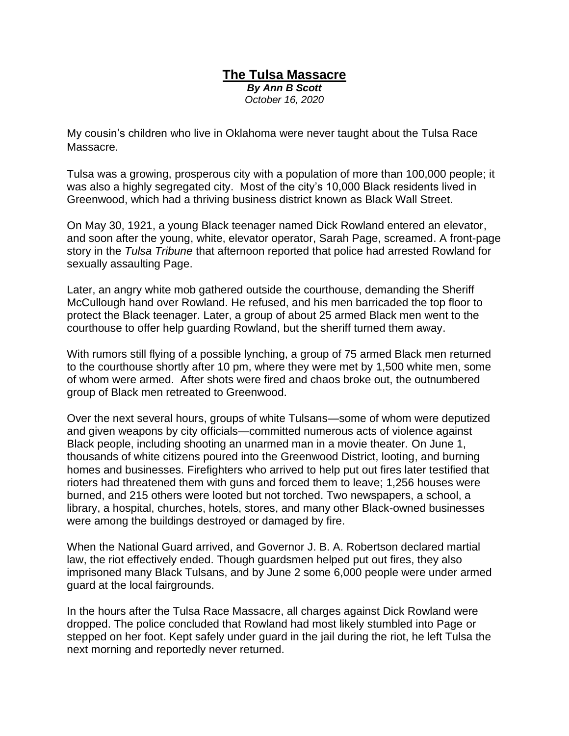## **The Tulsa Massacre** *By Ann B Scott October 16, 2020*

My cousin's children who live in Oklahoma were never taught about the Tulsa Race Massacre.

Tulsa was a growing, prosperous city with a population of more than 100,000 people; it was also a highly segregated city. Most of the city's 10,000 Black residents lived in Greenwood, which had a thriving business district known as Black Wall Street.

On May 30, 1921, a young Black teenager named Dick Rowland entered an elevator, and soon after the young, white, elevator operator, Sarah Page, screamed. A front-page story in the *Tulsa Tribune* that afternoon reported that police had arrested Rowland for sexually assaulting Page.

Later, an angry white mob gathered outside the courthouse, demanding the Sheriff McCullough hand over Rowland. He refused, and his men barricaded the top floor to protect the Black teenager. Later, a group of about 25 armed Black men went to the courthouse to offer help guarding Rowland, but the sheriff turned them away.

With rumors still flying of a possible lynching, a group of 75 armed Black men returned to the courthouse shortly after 10 pm, where they were met by 1,500 white men, some of whom were armed. After shots were fired and chaos broke out, the outnumbered group of Black men retreated to Greenwood.

Over the next several hours, groups of white Tulsans—some of whom were deputized and given weapons by city officials—committed numerous acts of violence against Black people, including shooting an unarmed man in a movie theater. On June 1, thousands of white citizens poured into the Greenwood District, looting, and burning homes and businesses. Firefighters who arrived to help put out fires later testified that rioters had threatened them with guns and forced them to leave; 1,256 houses were burned, and 215 others were looted but not torched. Two newspapers, a school, a library, a hospital, churches, hotels, stores, and many other Black-owned businesses were among the buildings destroyed or damaged by fire.

When the National Guard arrived, and Governor J. B. A. Robertson declared martial law, the riot effectively ended. Though guardsmen helped put out fires, they also imprisoned many Black Tulsans, and by June 2 some 6,000 people were under armed guard at the local fairgrounds.

In the hours after the Tulsa Race Massacre, all charges against Dick Rowland were dropped. The police concluded that Rowland had most likely stumbled into Page or stepped on her foot. Kept safely under guard in the jail during the riot, he left Tulsa the next morning and reportedly never returned.